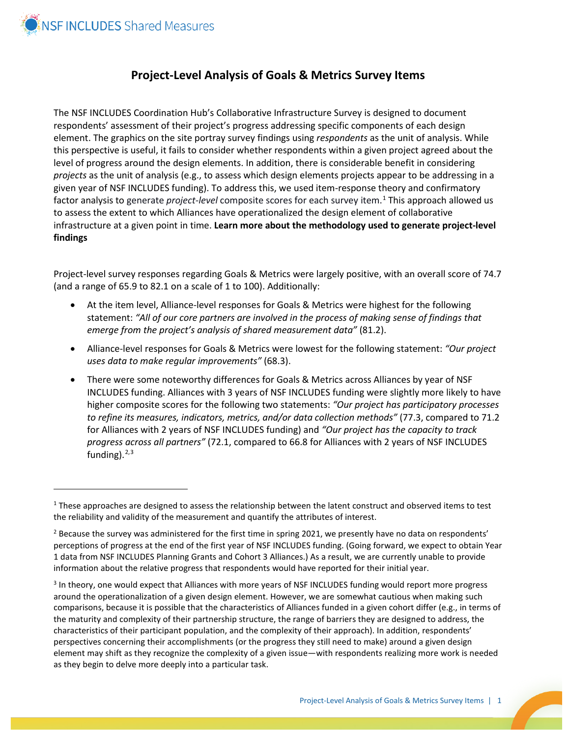

 $\overline{a}$ 

## **Project-Level Analysis of Goals & Metrics Survey Items**

The NSF INCLUDES Coordination Hub's Collaborative Infrastructure Survey is designed to document respondents' assessment of their project's progress addressing specific components of each design element. The graphics on the site portray survey findings using *respondents* as the unit of analysis. While this perspective is useful, it fails to consider whether respondents within a given project agreed about the level of progress around the design elements. In addition, there is considerable benefit in considering *projects* as the unit of analysis (e.g., to assess which design elements projects appear to be addressing in a given year of NSF INCLUDES funding). To address this, we used item-response theory and confirmatory factor analysis to generate *project-level* composite scores for each survey item.[1](#page-0-0) This approach allowed us to assess the extent to which Alliances have operationalized the design element of collaborative infrastructure at a given point in time. **Learn more about the methodology used to generate project-level findings**

Project-level survey responses regarding Goals & Metrics were largely positive, with an overall score of 74.7 (and a range of 65.9 to 82.1 on a scale of 1 to 100). Additionally:

- At the item level, Alliance-level responses for Goals & Metrics were highest for the following statement: *"All of our core partners are involved in the process of making sense of findings that emerge from the project's analysis of shared measurement data"* (81.2).
- Alliance-level responses for Goals & Metrics were lowest for the following statement: *"Our project uses data to make regular improvements"* (68.3).
- There were some noteworthy differences for Goals & Metrics across Alliances by year of NSF INCLUDES funding. Alliances with 3 years of NSF INCLUDES funding were slightly more likely to have higher composite scores for the following two statements: *"Our project has participatory processes to refine its measures, indicators, metrics, and/or data collection methods"* (77.3, compared to 71.2 for Alliances with 2 years of NSF INCLUDES funding) and *"Our project has the capacity to track progress across all partners"* (72.1, compared to 66.8 for Alliances with 2 years of NSF INCLUDES funding).<sup>[2,](#page-0-1)[3](#page-0-2)</sup>

<span id="page-0-0"></span> $1$  These approaches are designed to assess the relationship between the latent construct and observed items to test the reliability and validity of the measurement and quantify the attributes of interest.

<span id="page-0-1"></span> $<sup>2</sup>$  Because the survey was administered for the first time in spring 2021, we presently have no data on respondents'</sup> perceptions of progress at the end of the first year of NSF INCLUDES funding. (Going forward, we expect to obtain Year 1 data from NSF INCLUDES Planning Grants and Cohort 3 Alliances.) As a result, we are currently unable to provide information about the relative progress that respondents would have reported for their initial year.

<span id="page-0-2"></span><sup>&</sup>lt;sup>3</sup> In theory, one would expect that Alliances with more years of NSF INCLUDES funding would report more progress around the operationalization of a given design element. However, we are somewhat cautious when making such comparisons, because it is possible that the characteristics of Alliances funded in a given cohort differ (e.g., in terms of the maturity and complexity of their partnership structure, the range of barriers they are designed to address, the characteristics of their participant population, and the complexity of their approach). In addition, respondents' perspectives concerning their accomplishments (or the progress they still need to make) around a given design element may shift as they recognize the complexity of a given issue—with respondents realizing more work is needed as they begin to delve more deeply into a particular task.